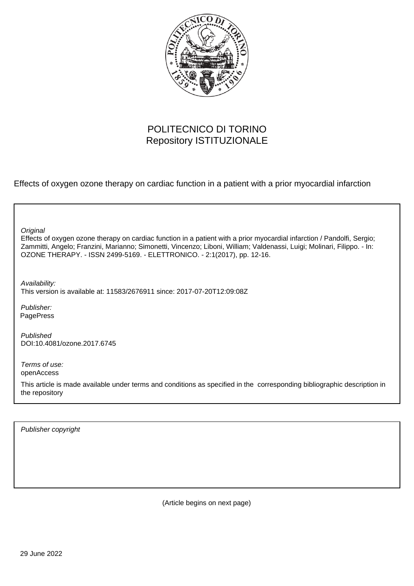

## POLITECNICO DI TORINO Repository ISTITUZIONALE

Effects of oxygen ozone therapy on cardiac function in a patient with a prior myocardial infarction

**Original** 

Effects of oxygen ozone therapy on cardiac function in a patient with a prior myocardial infarction / Pandolfi, Sergio; Zammitti, Angelo; Franzini, Marianno; Simonetti, Vincenzo; Liboni, William; Valdenassi, Luigi; Molinari, Filippo. - In: OZONE THERAPY. - ISSN 2499-5169. - ELETTRONICO. - 2:1(2017), pp. 12-16.

Availability: This version is available at: 11583/2676911 since: 2017-07-20T12:09:08Z

Publisher: PagePress

Published DOI:10.4081/ozone.2017.6745

Terms of use: openAccess

This article is made available under terms and conditions as specified in the corresponding bibliographic description in the repository

Publisher copyright

(Article begins on next page)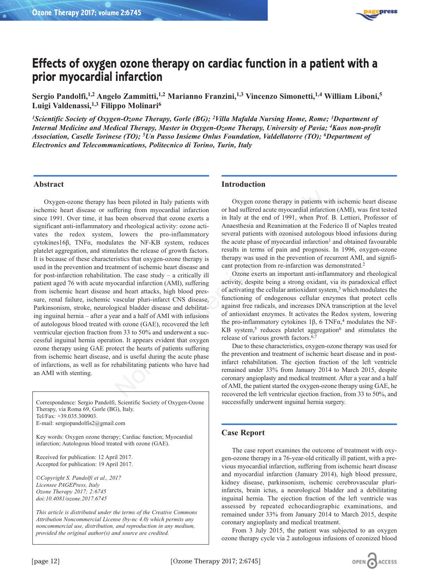

# **Effects of oxygen ozone therapy on cardiac function in a patient with a prior myocardial infarction**

**Sergio Pandolfi,1,2 Angelo Zammitti,1,2 Marianno Franzini,1,3 Vincenzo Simonetti,1,4 William Liboni,5 Luigi Valdenassi,1,3 Filippo Molinari6**

*1Scientific Society of Oxygen-Ozone Therapy, Gorle (BG); 2Villa Mafalda Nursing Home, Rome; 3Department of Internal Medicine and Medical Therapy, Master in Oxygen-Ozone Therapy, University of Pavia; 4Kaos non-profit Association, Caselle Torinese (TO); 5Un Passo Insieme Onlus Foundation, Valdellatorre (TO); 6Department of Electronics and Telecommunications, Politecnico di Torino, Turin, Italy*

#### **Abstract**

Oxygen-ozone therapy has been piloted in Italy patients with ischemic heart disease or suffering from myocardial infarction since 1991. Over time, it has been observed that ozone exerts a significant anti-inflammatory and rheological activity: ozone activates the redox system, lowers the pro-inflammatory cytokines16β, TNFα, modulates the NF-KB system, reduces platelet aggregation, and stimulates the release of growth factors. It is because of these characteristics that oxygen-ozone therapy is used in the prevention and treatment of ischemic heart disease and for post-infarction rehabilitation. The case study – a critically ill patient aged 76 with acute myocardial infarction (AMI), suffering from ischemic heart disease and heart attacks, high blood pressure, renal failure, ischemic vascular pluri-infarct CNS disease, Parkinsonism, stroke, neurological bladder disease and debilitating inguinal hernia – after a year and a half of AMI with infusions of autologous blood treated with ozone (GAE), recovered the left ventricular ejection fraction from 33 to 50% and underwent a successful inguinal hernia operation. It appears evident that oxygen ozone therapy using GAE protect the hearts of patients suffering from ischemic heart disease, and is useful during the acute phase of infarctions, as well as for rehabilitating patients who have had an AMI with stenting. s been piloted in Italy patients with<br>
Oxygen ozone therapy in patients we<br>
ffering from myocardial infarctio<br>
been observed that ozone exerts a<br>
in Italy at the end of 1991, when Prof.<br>
honserved that ozone exerts a<br>
in

Correspondence: Sergio Pandolfi, Scientific Society of Oxygen-Ozone Therapy, via Roma 69, Gorle (BG), Italy. Tel/Fax: +39.035.300903. E-mail: sergiopandolfis2@gmail.com

Key words: Oxygen ozone therapy; Cardiac function; Myocardial infarction; Autologous blood treated with ozone (GAE).

Received for publication: 12 April 2017. Accepted for publication: 19 April 2017.

©*Copyright S. Pandolfi et al., 2017 Licensee PAGEPress, Italy Ozone Therapy 2017; 2:6745 doi:10.4081/ozone.2017.6745*

*This article is distributed under the terms of the Creative Commons Attribution Noncommercial License (by-nc 4.0) which permits any noncommercial use, distribution, and reproduction in any medium, provided the original author(s) and source are credited.*

## **Introduction**

Oxygen ozone therapy in patients with ischemic heart disease or had suffered acute myocardial infarction (AMI), was first tested in Italy at the end of 1991, when Prof. B. Lettieri, Professor of Anaesthesia and Reanimation at the Federico II of Naples treated several patients with ozonised autologous blood infusions during the acute phase of myocardial infarction<sup>1</sup> and obtained favourable results in terms of pain and prognosis. In 1996, oxygen-ozone therapy was used in the prevention of recurrent AMI, and significant protection from re-infarction was demonstrated.<sup>2</sup>

Ozone exerts an important anti-inflammatory and rheological activity, despite being a strong oxidant, via its paradoxical effect of activating the cellular antioxidant system,<sup>3</sup> which modulates the functioning of endogenous cellular enzymes that protect cells against free radicals, and increases DNA transcription at the level of antioxidant enzymes. It activates the Redox system, lowering the pro-inflammatory cytokines 1β, 6 TNFα,<sup>4</sup> modulates the NF- $KB$  system,<sup>5</sup> reduces platelet aggregation<sup>6</sup> and stimulates the release of various growth factors.6,7

Due to these characteristics, oxygen-ozone therapy was used for the prevention and treatment of ischemic heart disease and in postinfarct rehabilitation. The ejection fraction of the left ventricle remained under 33% from January 2014 to March 2015, despite coronary angioplasty and medical treatment. After a year and a half of AMI, the patient started the oxygen-ozone therapy using GAE, he recovered the left ventricular ejection fraction, from 33 to 50%, and successfully underwent inguinal hernia surgery.

## **Case Report**

The case report examines the outcome of treatment with oxygen-ozone therapy in a 76-year-old critically ill patient, with a previous myocardial infarction, suffering from ischemic heart disease and myocardial infarction (January 2014), high blood pressure, kidney disease, parkinsonism, ischemic cerebrovascular pluriinfarcts, brain ictus, a neurological bladder and a debilitating inguinal hernia. The ejection fraction of the left ventricle was assessed by repeated echocardiographic examinations, and remained under 33% from January 2014 to March 2015, despite coronary angioplasty and medical treatment.

From 3 July 2015, the patient was subjected to an oxygen ozone therapy cycle via 2 autologous infusions of ozonized blood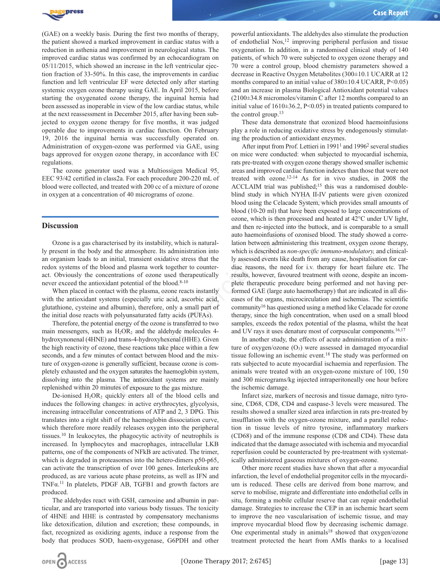

(GAE) on a weekly basis. During the first two months of therapy, the patient showed a marked improvement in cardiac status with a reduction in asthenia and improvement in neurological status. The improved cardiac status was confirmed by an echocardiogram on 05/11/2015, which showed an increase in the left ventricular ejection fraction of 33-50%. In this case, the improvements in cardiac function and left ventricular EF were detected only after starting systemic oxygen ozone therapy using GAE. In April 2015, before starting the oxygenated ozone therapy, the inguinal hernia had been assessed as inoperable in view of the low cardiac status, while at the next reassessment in December 2015, after having been subjected to oxygen ozone therapy for five months, it was judged operable due to improvements in cardiac function. On February 19, 2016 the inguinal hernia was successfully operated on. Administration of oxygen-ozone was performed via GAE, using bags approved for oxygen ozone therapy, in accordance with EC regulations.

The ozone generator used was a Multiossigen Medical 95, EEC 93/42 certified in class2a. For each procedure 200-220 mL of blood were collected, and treated with 200 cc of a mixture of ozone in oxygen at a concentration of 40 micrograms of ozone.

## **Discussion**

Ozone is a gas characterised by its instability, which is naturally present in the body and the atmosphere. Its administration into an organism leads to an initial, transient oxidative stress that the redox systems of the blood and plasma work together to counteract. Obviously the concentrations of ozone used therapeutically never exceed the antioxidant potential of the blood.8-10

When placed in contact with the plasma, ozone reacts instantly with the antioxidant systems (especially uric acid, ascorbic acid, glutathione, cysteine and albumin), therefore, only a small part of the initial dose reacts with polyunsaturated fatty acids (PUFAs).

Therefore, the potential energy of the ozone is transferred to two main messengers, such as  $H_2OR_2$  and the aldehyde molecules 4hydroxynonenal (4HNE) and trans-4-hydroxyhexenal (HHE). Given the high reactivity of ozone, these reactions take place within a few seconds, and a few minutes of contact between blood and the mixture of oxygen-ozone is generally sufficient, because ozone is completely exhausted and the oxygen saturates the haemoglobin system, dissolving into the plasma. The antioxidant systems are mainly replenished within 20 minutes of exposure to the gas mixture.

De-ionised  $H_2OR_2$  quickly enters all of the blood cells and induces the following changes: in active erythrocytes, glycolysis, increasing intracellular concentrations of ATP and 2, 3 DPG. This translates into a right shift of the haemoglobin dissociation curve, which therefore more readily releases oxygen into the peripheral tissues.10 In leukocytes, the phagocytic activity of neutrophils is increased. In lymphocytes and macrophages, intracellular LKB patterns, one of the components of NFkB are activated. The trimer, which is degraded in proteasomes into the hetero-dimers p50-p65, can activate the transcription of over 100 genes. Interleukins are produced, as are various acute phase proteins, as well as IFN and TNFα.11 In platelets, PDGF AB, TGFB1 and growth factors are produced.

The aldehydes react with GSH, carnosine and albumin in particular, and are transported into various body tissues. The toxicity of 4HNE and HHE is contrasted by compensatory mechanisms like detoxification, dilution and excretion; these compounds, in fact, recognized as oxidizing agents, induce a response from the body that produces SOD, haem-oxygenase, G6PDH and other

powerful antioxidants. The aldehydes also stimulate the production of endothelial Nos,12 improving peripheral perfusion and tissue oxygenation. In addition, in a randomised clinical study of 140 patients, of which 70 were subjected to oxygen ozone therapy and 70 were a control group, blood chemistry parameters showed a decrease in Reactive Oxygen Metabolites (300±10.1 UCARR at 12 months compared to an initial value of  $380\pm10.4$  UCARR, P<0.05) and an increase in plasma Biological Antioxidant potential values (2100±34.8 micromoles/vitamin C after 12 months compared to an initial value of  $1610\pm36.2$ , P<0.05) in treated patients compared to the control group.13

These data demonstrate that ozonized blood haemoinfusions play a role in reducing oxidative stress by endogenously stimulating the production of antioxidant enzymes.

After input from Prof. Lettieri in 1991<sup>1</sup> and 1996<sup>2</sup> several studies on mice were conducted: when subjected to myocardial ischemia, rats pre-treated with oxygen ozone therapy showed smaller ischemic areas and improved cardiac function indexes than those that were not treated with ozone.12-14 As for in vivo studies, in 2008 the ACCLAIM trial was published;<sup>15</sup> this was a randomised doubleblind study in which NYHA II-IV patients were given ozonized blood using the Celacade System, which provides small amounts of blood (10-20 ml) that have been exposed to large concentrations of ozone, which is then processed and heated at 42°C under UV light, and then re-injected into the buttock, and is comparable to a small auto haemoinfusions of ozonised blood. The study showed a correlation between administering this treatment, oxygen ozone therapy, which is described as *non-specific immuno-modulatory,* and clinically assessed events like death from any cause, hospitalisation for cardiac reasons, the need for i.v. therapy for heart failure etc. The results, however, favoured treatment with ozone, despite an incomplete therapeutic procedure being performed and not having performed GAE (large auto haemotherapy) that are indicated in all diseases of the organs, microcirculation and ischemias. The scientific community16 has questioned using a method like Celacade for ozone therapy, since the high concentration, when used on a small blood samples, exceeds the redox potential of the plasma, whilst the heat and UV rays it uses denature most of corpuscular components.<sup>16,17</sup> n of 40 micrograms of ozone.<br>
blood using the Celacade System, which is the streamed blood (10-20 ml) that have been experiment blood (10-20 ml) that have been experiment or a model to the streament or a more of coming th

In another study, the effects of acute administration of a mixture of oxygen/ozone  $(O_3)$  were assessed in damaged myocardial tissue following an ischemic event.18 The study was performed on rats subjected to acute myocardial ischaemia and reperfusion. The animals were treated with an oxygen-ozone mixture of 100, 150 and 300 micrograms/kg injected intraperitoneally one hour before the ischemic damage.

Infarct size, markers of necrosis and tissue damage, nitro tyrosine, CD68, CD8, CD4 and caspase-3 levels were measured. The results showed a smaller sized area infarction in rats pre-treated by insufflation with the oxygen-ozone mixture, and a parallel reduction in tissue levels of nitro tyrosine, inflammatory markers (CD68) and of the immune response (CD8 and CD4). These data indicated that the damage associated with ischemia and myocardial reperfusion could be counteracted by pre-treatment with systematically administered gaseous mixtures of oxygen-ozone.

Other more recent studies have shown that after a myocardial infarction, the level of endothelial progenitor cells in the myocardium is reduced. These cells are derived from bone marrow, and serve to mobilise, migrate and differentiate into endothelial cells in situ, forming a mobile cellular reserve that can repair endothelial damage. Strategies to increase the CEP in an ischemic heart seem to improve the neo vascularisation of ischemic tissue, and may improve myocardial blood flow by decreasing ischemic damage. One experimental study in animals<sup>18</sup> showed that oxygen/ozone treatment protected the heart from AMIs thanks to a localised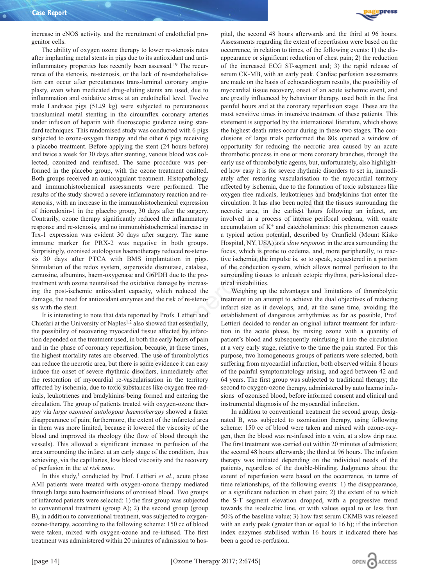increase in eNOS activity, and the recruitment of endothelial progenitor cells.

The ability of oxygen ozone therapy to lower re-stenosis rates after implanting metal stents in pigs due to its antioxidant and antiinflammatory properties has recently been assessed.19 The recurrence of the stenosis, re-stenosis, or the lack of re-endothelialisation can occur after percutaneous trans-luminal coronary angioplasty, even when medicated drug-eluting stents are used, due to inflammation and oxidative stress at an endothelial level. Twelve male Landrace pigs  $(51\pm 9 \text{ kg})$  were subjected to percutaneous transluminal metal stenting in the circumflex coronary arteries under infusion of heparin with fluoroscopic guidance using standard techniques. This randomised study was conducted with 6 pigs subjected to ozone-oxygen therapy and the other 6 pigs receiving a placebo treatment. Before applying the stent (24 hours before) and twice a week for 30 days after stenting, venous blood was collected, ozonized and reinfused. The same procedure was performed in the placebo group, with the ozone treatment omitted. Both groups received an anticoagulant treatment. Histopathology and immunohistochemical assessments were performed. The results of the study showed a severe inflammatory reaction and restenosis, with an increase in the immunohistochemical expression of thioredoxin-1 in the placebo group, 30 days after the surgery. Contrarily, ozone therapy significantly reduced the inflammatory response and re-stenosis, and no immunohistochemical increase in Trx-1 expression was evident 30 days after surgery. The same immune marker for PRX-2 was negative in both groups. Surprisingly, ozonised autologous haemotherapy reduced re-stenosis 30 days after PTCA with BMS implantation in pigs. Stimulation of the redox system, superoxide dismutase, catalase, carnosine, albumins, haem-oxygenase and G6PDH due to the pretreatment with ozone neutralised the oxidative damage by increasing the post-ischemic antioxidant capacity, which reduced the damage, the need for antioxidant enzymes and the risk of re-stenosis with the stent.

It is interesting to note that data reported by Profs. Lettieri and Chiefari at the University of Naples<sup>1,2</sup> also showed that essentially, the possibility of recovering myocardial tissue affected by infarction depended on the treatment used, in both the early hours of pain and in the phase of coronary reperfusion, because, at these times, the highest mortality rates are observed. The use of thrombolytics can reduce the necrotic area, but there is some evidence it can easy induce the onset of severe rhythmic disorders, immediately after the restoration of myocardial re-vascularisation in the territory affected by ischemia, due to toxic substances like oxygen free radicals, leukotrienes and bradykinins being formed and entering the circulation. The group of patients treated with oxygen-ozone therapy via *large ozonised autologous haemotherapy* showed a faster disappearance of pain; furthermore, the extent of the infarcted area in them was more limited, because it lowered the viscosity of the blood and improved its rheology (the flow of blood through the vessels). This allowed a significant increase in perfusion of the area surrounding the infarct at an early stage of the condition, thus achieving, via the capillaries, low blood viscosity and the recovery of perfusion in the *at risk zone*.

In this study,<sup>1</sup> conducted by Prof. Lettieri *et al.*, acute phase AMI patients were treated with oxygen-ozone therapy mediated through large auto haemoinfusions of ozonised blood. Two groups of infarcted patients were selected: 1) the first group was subjected to conventional treatment (group A); 2) the second group (group B), in addition to conventional treatment, was subjected to oxygenozone-therapy, according to the following scheme: 150 cc of blood were taken, mixed with oxygen-ozone and re-infused. The first treatment was administered within 20 minutes of admission to hos-



pital, the second 48 hours afterwards and the third at 96 hours. Assessments regarding the extent of reperfusion were based on the occurrence, in relation to times, of the following events: 1) the disappearance or significant reduction of chest pain; 2) the reduction of the increased ECG ST-segment and; 3) the rapid release of serum CK-MB, with an early peak. Cardiac perfusion assessments are made on the basis of echocardiogram results, the possibility of myocardial tissue recovery, onset of an acute ischemic event, and are greatly influenced by behaviour therapy, used both in the first painful hours and at the coronary reperfusion stage. These are the most sensitive times in intensive treatment of these patients. This statement is supported by the international literature, which shows the highest death rates occur during in these two stages. The conclusions of large trials performed the 80s opened a window of opportunity for reducing the necrotic area caused by an acute thrombotic process in one or more coronary branches, through the early use of thrombolytic agents, but, unfortunately, also highlighted how easy it is for severe rhythmic disorders to set in, immediately after restoring vascularisation to the myocardial territory affected by ischemia, due to the formation of toxic substances like oxygen free radicals, leukotrienes and bradykinins that enter the circulation. It has also been noted that the tissues surrounding the necrotic area, in the earliest hours following an infarct, are involved in a process of intense perifocal oedema, with onsite accumulation of  $K^+$  and catecholamines: this phenomenon causes a typical action potential, described by Cranfield (Mount Kisko Hospital, NY, USA) as a *slow response*; in the area surrounding the focus, which is prone to oedema, and, more peripherally, to reactive ischemia, the impulse is, so to speak, sequestered in a portion of the conduction system, which allows normal perfusion to the surrounding tissues to unleash ectopic rhythms, peri-lesional electrical instabilities.

Weighing up the advantages and limitations of thrombolytic treatment in an attempt to achieve the dual objectives of reducing infarct size as it develops, and, at the same time, avoiding the establishment of dangerous arrhythmias as far as possible, Prof. Lettieri decided to render an original infarct treatment for infarction in the acute phase, by mixing ozone with a quantity of patient's blood and subsequently reinfusing it into the circulation at a very early stage, relative to the time the pain started. For this purpose, two homogeneous groups of patients were selected, both suffering from myocardial infarction, both observed within 8 hours of the painful symptomatology arising, and aged between 42 and 64 years. The first group was subjected to traditional therapy; the second to oxygen-ozone therapy, administered by auto haemo infusions of ozonised blood, before informed consent and clinical and instrumental diagnosis of the myocardial infarction. evere inflammatory reaction and re-<br>
sorver inficantly reaction and re-<br>
in minimals of constrained expression<br>
in circulation. It has also been noted that the<br>
inficantly reduced the inflammatory<br>
involved in a process o

> In addition to conventional treatment the second group, designated B, was subjected to ozonisation therapy, using following scheme: 150 cc of blood were taken and mixed with ozone-oxygen, then the blood was re-infused into a vein, at a slow drip rate. The first treatment was carried out within 20 minutes of admission; the second 48 hours afterwards; the third at 96 hours. The infusion therapy was initiated depending on the individual needs of the patients, regardless of the double-blinding. Judgments about the extent of reperfusion were based on the occurrence, in terms of time relationships, of the following events: 1) the disappearance, or a significant reduction in chest pain; 2) the extent of to which the S-T segment elevation dropped, with a progressive trend towards the isoelectric line, or with values equal to or less than 50% of the baseline value; 3) how fast serum CKMB was released with an early peak (greater than or equal to 16 h); if the infarction index enzymes stabilised within 16 hours it indicated there has been a good re-perfusion.

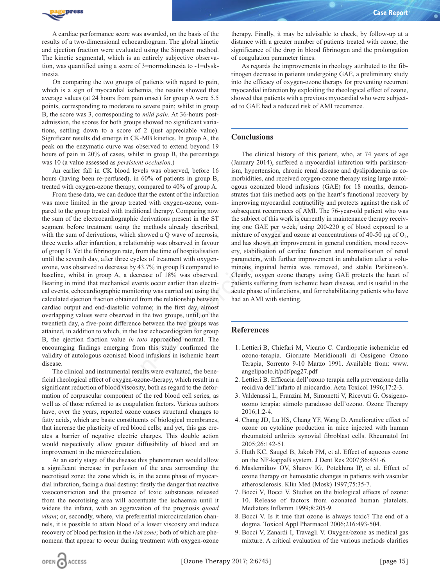

A cardiac performance score was awarded, on the basis of the results of a two-dimensional echocardiogram. The global kinetic and ejection fraction were evaluated using the Simpson method. The kinetic segmental, which is an entirely subjective observation, was quantified using a score of 3=normokinesia to -1=dyskinesia.

On comparing the two groups of patients with regard to pain, which is a sign of myocardial ischemia, the results showed that average values (at 24 hours from pain onset) for group A were 5.5 points, corresponding to moderate to severe pain; whilst in group B, the score was 3, corresponding to *mild pain*. At 36-hours postadmission, the scores for both groups showed no significant variations, settling down to a score of 2 (just appreciable value). Significant results did emerge in CK-MB kinetics. In group A, the peak on the enzymatic curve was observed to extend beyond 19 hours of pain in 20% of cases, whilst in group B, the percentage was 10 (a value assessed as *persistent occlusion*.)

An earlier fall in CK blood levels was observed, before 16 hours (having been re-perfused), in 60% of patients in group B, treated with oxygen-ozone therapy, compared to 40% of group A.

From these data, we can deduce that the extent of the infarction was more limited in the group treated with oxygen-ozone, compared to the group treated with traditional therapy. Comparing now the sum of the electrocardiographic derivations present in the ST segment before treatment using the methods already described, with the sum of derivations, which showed a Q wave of necrosis, three weeks after infarction, a relationship was observed in favour of group B. Yet the fibrinogen rate, from the time of hospitalisation until the seventh day, after three cycles of treatment with oxygenozone, was observed to decrease by 43.7% in group B compared to baseline, whilst in group A, a decrease of 18% was observed. Bearing in mind that mechanical events occur earlier than electrical events, echocardiographic monitoring was carried out using the calculated ejection fraction obtained from the relationship between cardiac output and end-diastolic volume; in the first day, almost overlapping values were observed in the two groups, until, on the twentieth day, a five-point difference between the two groups was attained, in addition to which, in the last echocardiogram for group B, the ejection fraction value *in toto* approached normal. The encouraging findings emerging from this study confirmed the validity of autologous ozonised blood infusions in ischemic heart disease. deduce that the extent of the infraction<br>
strates that this method acts on the l<br>
rough treata with roxygen-ozone, com-<br>
infromegroup subsequent recurrences of AMI. The<br>
intraditional therapy. Comparing now<br>
subsequent re

The clinical and instrumental results were evaluated, the beneficial rheological effect of oxygen-ozone-therapy, which result in a significant reduction of blood viscosity, both as regard to the deformation of corpuscular component of the red blood cell series, as well as of those referred to as coagulation factors. Various authors have, over the years, reported ozone causes structural changes to fatty acids, which are basic constituents of biological membranes, that increase the plasticity of red blood cells; and yet, this gas creates a barrier of negative electric charges. This double action would respectively allow greater diffusibility of blood and an improvement in the microcirculation.

At an early stage of the disease this phenomenon would allow a significant increase in perfusion of the area surrounding the necrotised zone: the zone which is, in the acute phase of myocardial infarction, facing a dual destiny: firstly the danger that reactive vasoconstriction and the presence of toxic substances released from the necrotising area will accentuate the ischaemia until it widens the infarct, with an aggravation of the prognosis *quoad vitam*; or, secondly, where, via preferential microcirculation channels, it is possible to attain blood of a lower viscosity and induce recovery of blood perfusion in the *risk zone*; both of which are phenomena that appear to occur during treatment with oxygen-ozone

therapy. Finally, it may be advisable to check, by follow-up at a distance with a greater number of patients treated with ozone, the significance of the drop in blood fibrinogen and the prolongation of coagulation parameter times.

As regards the improvements in rheology attributed to the fibrinogen decrease in patients undergoing GAE, a preliminary study into the efficacy of oxygen-ozone therapy for preventing recurrent myocardial infarction by exploiting the rheological effect of ozone, showed that patients with a previous myocardial who were subjected to GAE had a reduced risk of AMI recurrence.

### **Conclusions**

The clinical history of this patient, who, at 74 years of age (January 2014), suffered a myocardial infarction with parkinsonism, hypertension, chronic renal disease and dyslipidaemia as comorbidities, and received oxygen-ozone therapy using large autologous ozonized blood infusions (GAE) for 18 months, demonstrates that this method acts on the heart's functional recovery by improving myocardial contractility and protects against the risk of subsequent recurrences of AMI. The 76-year-old patient who was the subject of this work is currently in maintenance therapy receiving one GAE per week, using 200-220 g of blood exposed to a mixture of oxygen and ozone at concentrations of 40-50  $\mu$ g of O<sub>3</sub>, and has shown an improvement in general condition, mood recovery, stabilisation of cardiac function and normalisation of renal parameters, with further improvement in ambulation after a voluminous inguinal hernia was removed, and stable Parkinson's. Clearly, oxygen ozone therapy using GAE protects the heart of patients suffering from ischemic heart disease, and is useful in the acute phase of infarctions, and for rehabilitating patients who have had an AMI with stenting.

#### **References**

- 1. Lettieri B, Chiefari M, Vicario C. Cardiopatie ischemiche ed ozono-terapia. Giornate Meridionali di Ossigeno Ozono Terapia, Sorrento 9-10 Marzo 1991. Available from: www. angelipaolo.it/pdf/pag27.pdf
- 2. Lettieri B. Efficacia dell'ozono terapia nella prevenzione della recidiva dell'infarto al miocardio. Acta Toxicol 1996;17:2-3.
- 3. Valdenassi L, Franzini M, Simonetti V, Ricevuti G. Ossigenoozono terapia: stimolo paradosso dell'ozono. Ozone Therapy 2016;1:2-4.
- 4. Chang JD, Lu HS, Chang YF, Wang D. Ameliorative effect of ozone on cytokine production in mice injected with human rheumatoid arthritis synovial fibroblast cells. Rheumatol Int 2005;26:142-51.
- 5. Huth KC, Saugel B, Jakob FM, et al. Effect of aqueous ozone on the NF-kappaB system. J Dent Res 2007;86:451-6.
- 6. Maslennikov OV, Sharov IG, Potekhina IP, et al. Effect of ozone therapy on hemostatic changes in patients with vascular atherosclerosis. Klin Med (Mosk) 1997;75:35-7.
- 7. Bocci V, Bocci V. Studies on the biological effects of ozone: 10. Release of factors from ozonated human platelets. Mediators Inflamm 1999;8:205-9.
- 8. Bocci V. Is it true that ozone is always toxic? The end of a dogma. Toxicol Appl Pharmacol 2006;216:493-504.
- 9. Bocci V, Zanardi I, Travagli V. Oxygen/ozone as medical gas mixture. A critical evaluation of the various methods clarifies